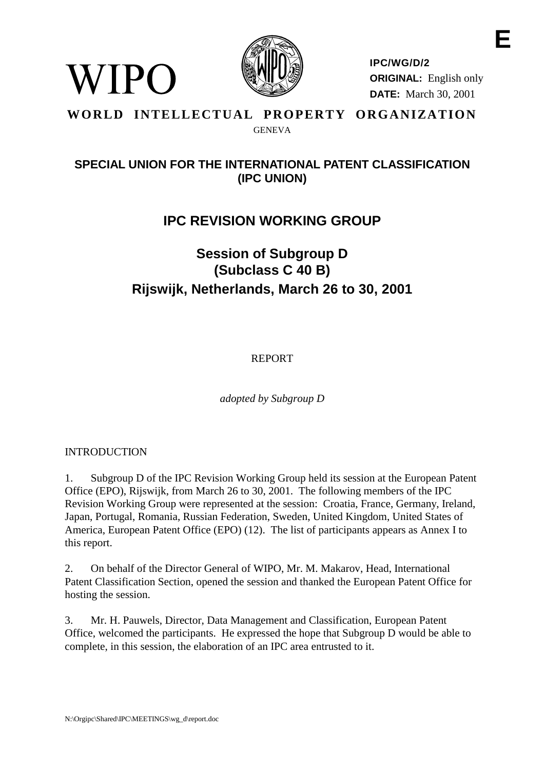

**IPC/WG/D/2 ORIGINAL:** English only **DATE:** March 30, 2001

#### **WORLD INTELLECTUAL PROPERTY ORGANIZATION GENEVA**

## **SPECIAL UNION FOR THE INTERNATIONAL PATENT CLASSIFICATION (IPC UNION)**

# **IPC REVISION WORKING GROUP**

# **Session of Subgroup D (Subclass C 40 B) Rijswijk, Netherlands, March 26 to 30, 2001**

REPORT

*adopted by Subgroup D*

#### INTRODUCTION

WIPO

1. Subgroup D of the IPC Revision Working Group held its session at the European Patent Office (EPO), Rijswijk, from March 26 to 30, 2001. The following members of the IPC Revision Working Group were represented at the session: Croatia, France, Germany, Ireland, Japan, Portugal, Romania, Russian Federation, Sweden, United Kingdom, United States of America, European Patent Office (EPO) (12). The list of participants appears as Annex I to this report.

2. On behalf of the Director General of WIPO, Mr. M. Makarov, Head, International Patent Classification Section, opened the session and thanked the European Patent Office for hosting the session.

3. Mr. H. Pauwels, Director, Data Management and Classification, European Patent Office, welcomed the participants. He expressed the hope that Subgroup D would be able to complete, in this session, the elaboration of an IPC area entrusted to it.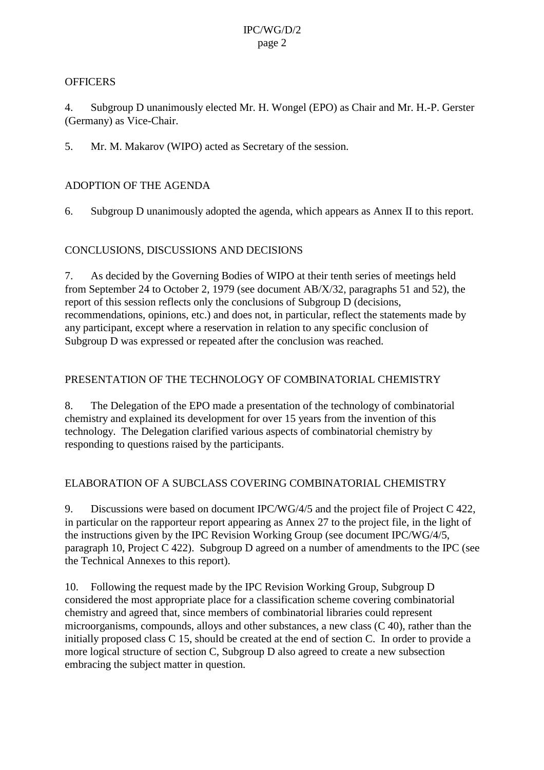#### **OFFICERS**

4. Subgroup D unanimously elected Mr. H. Wongel (EPO) as Chair and Mr. H.-P. Gerster (Germany) as Vice-Chair.

5. Mr. M. Makarov (WIPO) acted as Secretary of the session.

## ADOPTION OF THE AGENDA

6. Subgroup D unanimously adopted the agenda, which appears as Annex II to this report.

### CONCLUSIONS, DISCUSSIONS AND DECISIONS

7. As decided by the Governing Bodies of WIPO at their tenth series of meetings held from September 24 to October 2, 1979 (see document AB/X/32, paragraphs 51 and 52), the report of this session reflects only the conclusions of Subgroup D (decisions, recommendations, opinions, etc.) and does not, in particular, reflect the statements made by any participant, except where a reservation in relation to any specific conclusion of Subgroup D was expressed or repeated after the conclusion was reached.

#### PRESENTATION OF THE TECHNOLOGY OF COMBINATORIAL CHEMISTRY

8. The Delegation of the EPO made a presentation of the technology of combinatorial chemistry and explained its development for over 15 years from the invention of this technology. The Delegation clarified various aspects of combinatorial chemistry by responding to questions raised by the participants.

### ELABORATION OF A SUBCLASS COVERING COMBINATORIAL CHEMISTRY

9. Discussions were based on document IPC/WG/4/5 and the project file of Project C 422, in particular on the rapporteur report appearing as Annex 27 to the project file, in the light of the instructions given by the IPC Revision Working Group (see document IPC/WG/4/5, paragraph 10, Project C 422). Subgroup D agreed on a number of amendments to the IPC (see the Technical Annexes to this report).

10. Following the request made by the IPC Revision Working Group, Subgroup D considered the most appropriate place for a classification scheme covering combinatorial chemistry and agreed that, since members of combinatorial libraries could represent microorganisms, compounds, alloys and other substances, a new class (C 40), rather than the initially proposed class C 15, should be created at the end of section C. In order to provide a more logical structure of section C, Subgroup D also agreed to create a new subsection embracing the subject matter in question.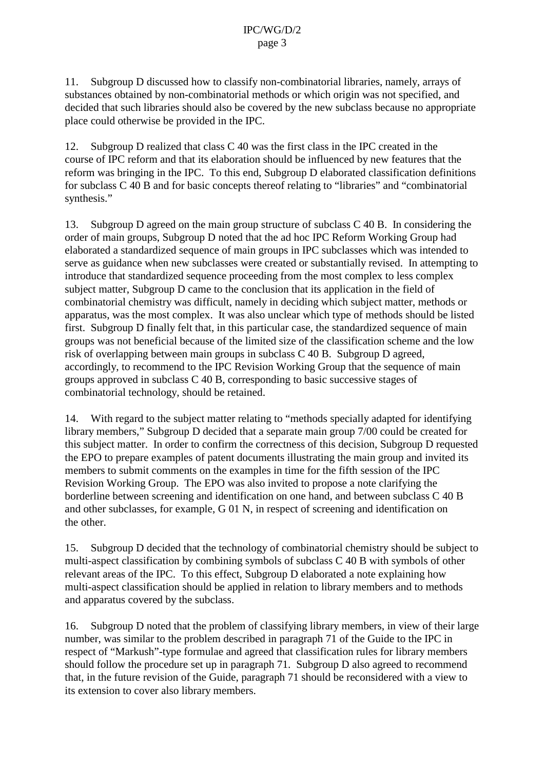11. Subgroup D discussed how to classify non-combinatorial libraries, namely, arrays of substances obtained by non-combinatorial methods or which origin was not specified, and decided that such libraries should also be covered by the new subclass because no appropriate place could otherwise be provided in the IPC.

12. Subgroup D realized that class C 40 was the first class in the IPC created in the course of IPC reform and that its elaboration should be influenced by new features that the reform was bringing in the IPC. To this end, Subgroup D elaborated classification definitions for subclass C 40 B and for basic concepts thereof relating to "libraries" and "combinatorial synthesis."

13. Subgroup D agreed on the main group structure of subclass C 40 B. In considering the order of main groups, Subgroup D noted that the ad hoc IPC Reform Working Group had elaborated a standardized sequence of main groups in IPC subclasses which was intended to serve as guidance when new subclasses were created or substantially revised. In attempting to introduce that standardized sequence proceeding from the most complex to less complex subject matter, Subgroup D came to the conclusion that its application in the field of combinatorial chemistry was difficult, namely in deciding which subject matter, methods or apparatus, was the most complex. It was also unclear which type of methods should be listed first. Subgroup D finally felt that, in this particular case, the standardized sequence of main groups was not beneficial because of the limited size of the classification scheme and the low risk of overlapping between main groups in subclass C 40 B. Subgroup D agreed, accordingly, to recommend to the IPC Revision Working Group that the sequence of main groups approved in subclass C 40 B, corresponding to basic successive stages of combinatorial technology, should be retained.

14. With regard to the subject matter relating to "methods specially adapted for identifying library members," Subgroup D decided that a separate main group 7/00 could be created for this subject matter. In order to confirm the correctness of this decision, Subgroup D requested the EPO to prepare examples of patent documents illustrating the main group and invited its members to submit comments on the examples in time for the fifth session of the IPC Revision Working Group. The EPO was also invited to propose a note clarifying the borderline between screening and identification on one hand, and between subclass C 40 B and other subclasses, for example, G 01 N, in respect of screening and identification on the other.

15. Subgroup D decided that the technology of combinatorial chemistry should be subject to multi-aspect classification by combining symbols of subclass C 40 B with symbols of other relevant areas of the IPC. To this effect, Subgroup D elaborated a note explaining how multi-aspect classification should be applied in relation to library members and to methods and apparatus covered by the subclass.

16. Subgroup D noted that the problem of classifying library members, in view of their large number, was similar to the problem described in paragraph 71 of the Guide to the IPC in respect of "Markush"-type formulae and agreed that classification rules for library members should follow the procedure set up in paragraph 71. Subgroup D also agreed to recommend that, in the future revision of the Guide, paragraph 71 should be reconsidered with a view to its extension to cover also library members.